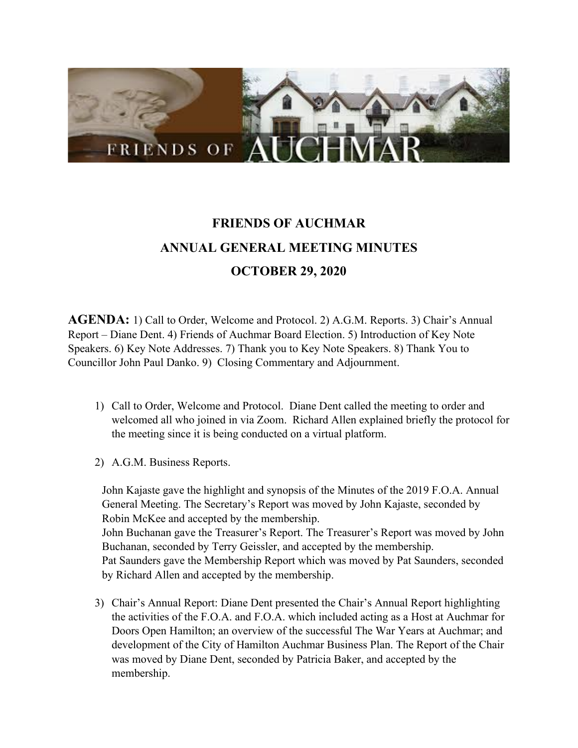

## **FRIENDS OF AUCHMAR ANNUAL GENERAL MEETING MINUTES OCTOBER 29, 2020**

**AGENDA:** 1) Call to Order, Welcome and Protocol. 2) A.G.M. Reports. 3) Chair's Annual Report – Diane Dent. 4) Friends of Auchmar Board Election. 5) Introduction of Key Note Speakers. 6) Key Note Addresses. 7) Thank you to Key Note Speakers. 8) Thank You to Councillor John Paul Danko. 9) Closing Commentary and Adjournment.

- 1) Call to Order, Welcome and Protocol. Diane Dent called the meeting to order and welcomed all who joined in via Zoom. Richard Allen explained briefly the protocol for the meeting since it is being conducted on a virtual platform.
- 2) A.G.M. Business Reports.

John Kajaste gave the highlight and synopsis of the Minutes of the 2019 F.O.A. Annual General Meeting. The Secretary's Report was moved by John Kajaste, seconded by Robin McKee and accepted by the membership. John Buchanan gave the Treasurer's Report. The Treasurer's Report was moved by John Buchanan, seconded by Terry Geissler, and accepted by the membership. Pat Saunders gave the Membership Report which was moved by Pat Saunders, seconded by Richard Allen and accepted by the membership.

3) Chair's Annual Report: Diane Dent presented the Chair's Annual Report highlighting the activities of the F.O.A. and F.O.A. which included acting as a Host at Auchmar for Doors Open Hamilton; an overview of the successful The War Years at Auchmar; and development of the City of Hamilton Auchmar Business Plan. The Report of the Chair was moved by Diane Dent, seconded by Patricia Baker, and accepted by the membership.